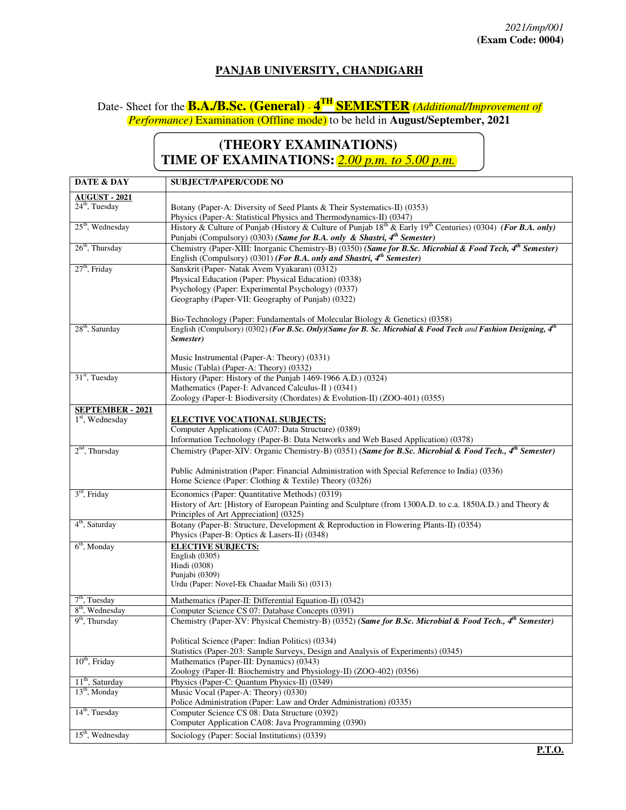## **PANJAB UNIVERSITY, CHANDIGARH**

## Date- Sheet for the **B.A./B.Sc. (General)** - **4 TH SEMESTER** *(Additional/Improvement of Performance)* Examination (Offline mode) to be held in **August/September, 2021**

## **(THEORY EXAMINATIONS) TIME OF EXAMINATIONS:** *2.00 p.m. to 5.00 p.m.*

| DATE & DAY                                      | <b>SUBJECT/PAPER/CODE NO</b>                                                                                                                                                                               |  |  |
|-------------------------------------------------|------------------------------------------------------------------------------------------------------------------------------------------------------------------------------------------------------------|--|--|
| <b>AUGUST - 2021</b>                            |                                                                                                                                                                                                            |  |  |
| $24th$ , Tuesday                                | Botany (Paper-A: Diversity of Seed Plants & Their Systematics-II) (0353)                                                                                                                                   |  |  |
|                                                 | Physics (Paper-A: Statistical Physics and Thermodynamics-II) (0347)                                                                                                                                        |  |  |
| $25th$ , Wednesday                              | History & Culture of Punjab (History & Culture of Punjab $18^{th}$ & Early $19^{th}$ Centuries) (0304) (For B.A. only)<br>Punjabi (Compulsory) (0303) (Same for B.A. only & Shastri, $4^{th}$ Semester)    |  |  |
| $26th$ , Thursday                               | Chemistry (Paper-XIII: Inorganic Chemistry-B) (0350) (Same for B.Sc. Microbial & Food Tech, 4 <sup>th</sup> Semester)<br>English (Compulsory) (0301) (For B.A. only and Shastri, 4 <sup>th</sup> Semester) |  |  |
| 27 <sup>th</sup> , Friday                       | Sanskrit (Paper- Natak Avem Vyakaran) (0312)                                                                                                                                                               |  |  |
|                                                 | Physical Education (Paper: Physical Education) (0338)                                                                                                                                                      |  |  |
|                                                 | Psychology (Paper: Experimental Psychology) (0337)                                                                                                                                                         |  |  |
|                                                 | Geography (Paper-VII: Geography of Punjab) (0322)                                                                                                                                                          |  |  |
|                                                 | Bio-Technology (Paper: Fundamentals of Molecular Biology & Genetics) (0358)                                                                                                                                |  |  |
| 28 <sup>th</sup> , Saturday                     | English (Compulsory) (0302) (For B.Sc. Only)(Same for B. Sc. Microbial & Food Tech and Fashion Designing, $4^{th}$                                                                                         |  |  |
|                                                 | Semester)                                                                                                                                                                                                  |  |  |
|                                                 | Music Instrumental (Paper-A: Theory) (0331)                                                                                                                                                                |  |  |
|                                                 | Music (Tabla) (Paper-A: Theory) (0332)                                                                                                                                                                     |  |  |
| 31 <sup>st</sup> , Tuesday                      | History (Paper: History of the Punjab 1469-1966 A.D.) (0324)                                                                                                                                               |  |  |
|                                                 | Mathematics (Paper-I: Advanced Calculus-II) (0341)                                                                                                                                                         |  |  |
|                                                 | Zoology (Paper-I: Biodiversity (Chordates) & Evolution-II) (ZOO-401) (0355)                                                                                                                                |  |  |
| <b>SEPTEMBER - 2021</b>                         |                                                                                                                                                                                                            |  |  |
| $1st$ , Wednesday                               | <b>ELECTIVE VOCATIONAL SUBJECTS:</b>                                                                                                                                                                       |  |  |
|                                                 | Computer Applications (CA07: Data Structure) (0389)<br>Information Technology (Paper-B: Data Networks and Web Based Application) (0378)                                                                    |  |  |
| $2nd$ , Thursday                                | Chemistry (Paper-XIV: Organic Chemistry-B) (0351) (Same for B.Sc. Microbial & Food Tech., 4 <sup>th</sup> Semester)                                                                                        |  |  |
|                                                 |                                                                                                                                                                                                            |  |  |
|                                                 | Public Administration (Paper: Financial Administration with Special Reference to India) (0336)<br>Home Science (Paper: Clothing & Textile) Theory (0326)                                                   |  |  |
| $3rd$ , Friday                                  | Economics (Paper: Quantitative Methods) (0319)                                                                                                                                                             |  |  |
|                                                 | History of Art: [History of European Painting and Sculpture (from 1300A.D. to c.a. 1850A.D.) and Theory &                                                                                                  |  |  |
|                                                 | Principles of Art Appreciation] (0325)                                                                                                                                                                     |  |  |
| 4 <sup>th</sup> , Saturday                      | Botany (Paper-B: Structure, Development & Reproduction in Flowering Plants-II) (0354)<br>Physics (Paper-B: Optics & Lasers-II) (0348)                                                                      |  |  |
| $6th$ , Monday                                  | <b>ELECTIVE SUBJECTS:</b>                                                                                                                                                                                  |  |  |
|                                                 | English $(0305)$                                                                                                                                                                                           |  |  |
|                                                 | Hindi (0308)                                                                                                                                                                                               |  |  |
|                                                 | Punjabi (0309)<br>Urdu (Paper: Novel-Ek Chaadar Maili Si) (0313)                                                                                                                                           |  |  |
|                                                 |                                                                                                                                                                                                            |  |  |
| $7th$ , Tuesday                                 | Mathematics (Paper-II: Differential Equation-II) (0342)                                                                                                                                                    |  |  |
| 8 <sup>th</sup> , Wednesday<br>$9th$ , Thursday | Computer Science CS 07: Database Concepts (0391)                                                                                                                                                           |  |  |
|                                                 | Chemistry (Paper-XV: Physical Chemistry-B) (0352) (Same for B.Sc. Microbial & Food Tech., 4th Semester)                                                                                                    |  |  |
|                                                 | Political Science (Paper: Indian Politics) (0334)                                                                                                                                                          |  |  |
|                                                 | Statistics (Paper-203: Sample Surveys, Design and Analysis of Experiments) (0345)                                                                                                                          |  |  |
| $10th$ , Friday                                 | Mathematics (Paper-III: Dynamics) (0343)                                                                                                                                                                   |  |  |
|                                                 | Zoology (Paper-II: Biochemistry and Physiology-II) (ZOO-402) (0356)                                                                                                                                        |  |  |
| 11 <sup>th</sup> , Saturday                     | Physics (Paper-C: Quantum Physics-II) (0349)                                                                                                                                                               |  |  |
| $13th$ , Monday                                 | Music Vocal (Paper-A: Theory) (0330)                                                                                                                                                                       |  |  |
| $14th$ , Tuesday                                | Police Administration (Paper: Law and Order Administration) (0335)<br>Computer Science CS 08: Data Structure (0392)                                                                                        |  |  |
|                                                 | Computer Application CA08: Java Programming (0390)                                                                                                                                                         |  |  |
| $15th$ , Wednesday                              | Sociology (Paper: Social Institutions) (0339)                                                                                                                                                              |  |  |
|                                                 |                                                                                                                                                                                                            |  |  |